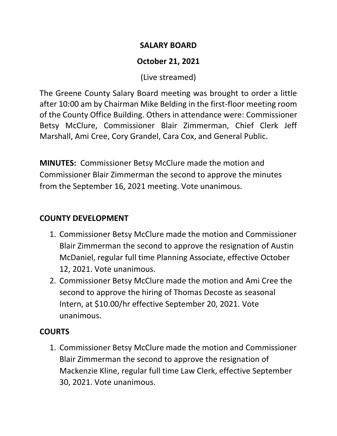## **SALARY BOARD**

# **October 21, 2021**

(Live streamed)

The Greene County Salary Board meeting was brought to order a little after 10:00 am by Chairman Mike Belding in the first-floor meeting room of the County Office Building. Others in attendance were: Commissioner Betsy McClure, Commissioner Blair Zimmerman, Chief Clerk Jeff Marshall, Ami Cree, Cory Grandel, Cara Cox, and General Public.

**MINUTES:** Commissioner Betsy McClure made the motion and Commissioner Blair Zimmerman the second to approve the minutes from the September 16, 2021 meeting. Vote unanimous.

# **COUNTY DEVELOPMENT**

- 1. Commissioner Betsy McClure made the motion and Commissioner Blair Zimmerman the second to approve the resignation of Austin McDaniel, regular full time Planning Associate, effective October 12, 2021. Vote unanimous.
- 2. Commissioner Betsy McClure made the motion and Ami Cree the second to approve the hiring of Thomas Decoste as seasonal Intern, at \$10.00/hr effective September 20, 2021. Vote unanimous.

## **COURTS**

1. Commissioner Betsy McClure made the motion and Commissioner Blair Zimmerman the second to approve the resignation of Mackenzie Kline, regular full time Law Clerk, effective September 30, 2021. Vote unanimous.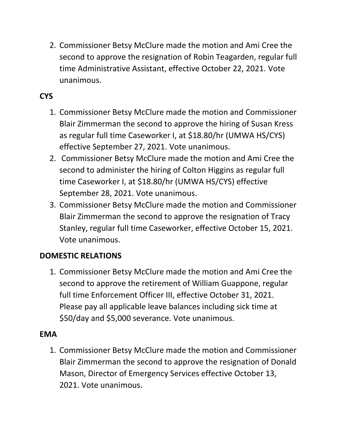2. Commissioner Betsy McClure made the motion and Ami Cree the second to approve the resignation of Robin Teagarden, regular full time Administrative Assistant, effective October 22, 2021. Vote unanimous.

# **CYS**

- 1. Commissioner Betsy McClure made the motion and Commissioner Blair Zimmerman the second to approve the hiring of Susan Kress as regular full time Caseworker I, at \$18.80/hr (UMWA HS/CYS) effective September 27, 2021. Vote unanimous.
- 2. Commissioner Betsy McClure made the motion and Ami Cree the second to administer the hiring of Colton Higgins as regular full time Caseworker I, at \$18.80/hr (UMWA HS/CYS) effective September 28, 2021. Vote unanimous.
- 3. Commissioner Betsy McClure made the motion and Commissioner Blair Zimmerman the second to approve the resignation of Tracy Stanley, regular full time Caseworker, effective October 15, 2021. Vote unanimous.

### **DOMESTIC RELATIONS**

1. Commissioner Betsy McClure made the motion and Ami Cree the second to approve the retirement of William Guappone, regular full time Enforcement Officer III, effective October 31, 2021. Please pay all applicable leave balances including sick time at \$50/day and \$5,000 severance. Vote unanimous.

#### **EMA**

1. Commissioner Betsy McClure made the motion and Commissioner Blair Zimmerman the second to approve the resignation of Donald Mason, Director of Emergency Services effective October 13, 2021. Vote unanimous.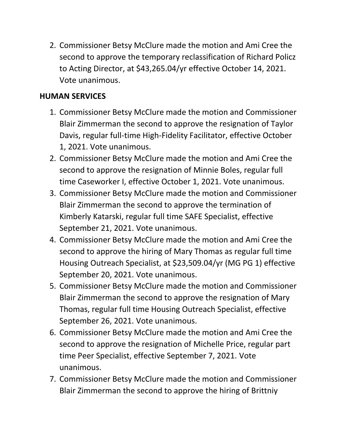2. Commissioner Betsy McClure made the motion and Ami Cree the second to approve the temporary reclassification of Richard Policz to Acting Director, at \$43,265.04/yr effective October 14, 2021. Vote unanimous.

## **HUMAN SERVICES**

- 1. Commissioner Betsy McClure made the motion and Commissioner Blair Zimmerman the second to approve the resignation of Taylor Davis, regular full-time High-Fidelity Facilitator, effective October 1, 2021. Vote unanimous.
- 2. Commissioner Betsy McClure made the motion and Ami Cree the second to approve the resignation of Minnie Boles, regular full time Caseworker I, effective October 1, 2021. Vote unanimous.
- 3. Commissioner Betsy McClure made the motion and Commissioner Blair Zimmerman the second to approve the termination of Kimberly Katarski, regular full time SAFE Specialist, effective September 21, 2021. Vote unanimous.
- 4. Commissioner Betsy McClure made the motion and Ami Cree the second to approve the hiring of Mary Thomas as regular full time Housing Outreach Specialist, at \$23,509.04/yr (MG PG 1) effective September 20, 2021. Vote unanimous.
- 5. Commissioner Betsy McClure made the motion and Commissioner Blair Zimmerman the second to approve the resignation of Mary Thomas, regular full time Housing Outreach Specialist, effective September 26, 2021. Vote unanimous.
- 6. Commissioner Betsy McClure made the motion and Ami Cree the second to approve the resignation of Michelle Price, regular part time Peer Specialist, effective September 7, 2021. Vote unanimous.
- 7. Commissioner Betsy McClure made the motion and Commissioner Blair Zimmerman the second to approve the hiring of Brittniy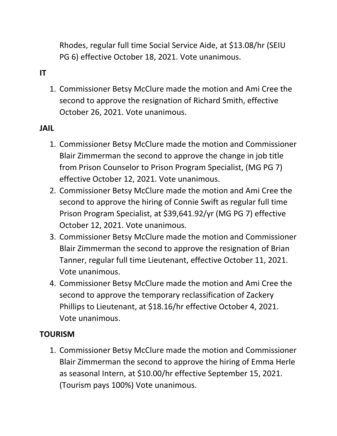Rhodes, regular full time Social Service Aide, at \$13.08/hr (SEIU PG 6) effective October 18, 2021. Vote unanimous.

# **IT**

1. Commissioner Betsy McClure made the motion and Ami Cree the second to approve the resignation of Richard Smith, effective October 26, 2021. Vote unanimous.

#### **JAIL**

- 1. Commissioner Betsy McClure made the motion and Commissioner Blair Zimmerman the second to approve the change in job title from Prison Counselor to Prison Program Specialist, (MG PG 7) effective October 12, 2021. Vote unanimous.
- 2. Commissioner Betsy McClure made the motion and Ami Cree the second to approve the hiring of Connie Swift as regular full time Prison Program Specialist, at \$39,641.92/yr (MG PG 7) effective October 12, 2021. Vote unanimous.
- 3. Commissioner Betsy McClure made the motion and Commissioner Blair Zimmerman the second to approve the resignation of Brian Tanner, regular full time Lieutenant, effective October 11, 2021. Vote unanimous.
- 4. Commissioner Betsy McClure made the motion and Ami Cree the second to approve the temporary reclassification of Zackery Phillips to Lieutenant, at \$18.16/hr effective October 4, 2021. Vote unanimous.

### **TOURISM**

1. Commissioner Betsy McClure made the motion and Commissioner Blair Zimmerman the second to approve the hiring of Emma Herle as seasonal Intern, at \$10.00/hr effective September 15, 2021. (Tourism pays 100%) Vote unanimous.